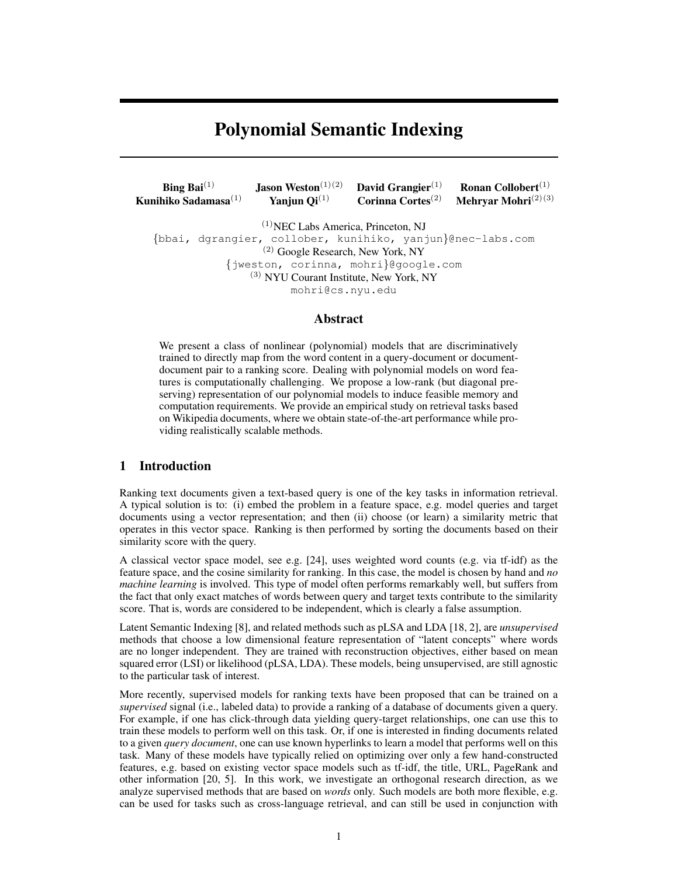# Polynomial Semantic Indexing

| <b>Bing Bai</b> <sup>(1)</sup> | <b>Jason Weston</b> <sup><math>(1)(2)</math></sup> | David Grangier $(1)$ | <b>Ronan Collobert</b> $(1)$     |
|--------------------------------|----------------------------------------------------|----------------------|----------------------------------|
| Kunihiko Sadamasa $(1)$        | Yanjun $Qi^{(1)}$                                  | Corinna Cortes $(2)$ | <b>Mehryar Mohri</b> $^{(2)(3)}$ |

(1)NEC Labs America, Princeton, NJ {bbai, dgrangier, collober, kunihiko, yanjun}@nec-labs.com (2) Google Research, New York, NY {jweston, corinna, mohri}@google.com (3) NYU Courant Institute, New York, NY mohri@cs.nyu.edu

# Abstract

We present a class of nonlinear (polynomial) models that are discriminatively trained to directly map from the word content in a query-document or documentdocument pair to a ranking score. Dealing with polynomial models on word features is computationally challenging. We propose a low-rank (but diagonal preserving) representation of our polynomial models to induce feasible memory and computation requirements. We provide an empirical study on retrieval tasks based on Wikipedia documents, where we obtain state-of-the-art performance while providing realistically scalable methods.

# 1 Introduction

Ranking text documents given a text-based query is one of the key tasks in information retrieval. A typical solution is to: (i) embed the problem in a feature space, e.g. model queries and target documents using a vector representation; and then (ii) choose (or learn) a similarity metric that operates in this vector space. Ranking is then performed by sorting the documents based on their similarity score with the query.

A classical vector space model, see e.g. [24], uses weighted word counts (e.g. via tf-idf) as the feature space, and the cosine similarity for ranking. In this case, the model is chosen by hand and *no machine learning* is involved. This type of model often performs remarkably well, but suffers from the fact that only exact matches of words between query and target texts contribute to the similarity score. That is, words are considered to be independent, which is clearly a false assumption.

Latent Semantic Indexing [8], and related methods such as pLSA and LDA [18, 2], are *unsupervised* methods that choose a low dimensional feature representation of "latent concepts" where words are no longer independent. They are trained with reconstruction objectives, either based on mean squared error (LSI) or likelihood (pLSA, LDA). These models, being unsupervised, are still agnostic to the particular task of interest.

More recently, supervised models for ranking texts have been proposed that can be trained on a *supervised* signal (i.e., labeled data) to provide a ranking of a database of documents given a query. For example, if one has click-through data yielding query-target relationships, one can use this to train these models to perform well on this task. Or, if one is interested in finding documents related to a given *query document*, one can use known hyperlinks to learn a model that performs well on this task. Many of these models have typically relied on optimizing over only a few hand-constructed features, e.g. based on existing vector space models such as tf-idf, the title, URL, PageRank and other information [20, 5]. In this work, we investigate an orthogonal research direction, as we analyze supervised methods that are based on *words* only. Such models are both more flexible, e.g. can be used for tasks such as cross-language retrieval, and can still be used in conjunction with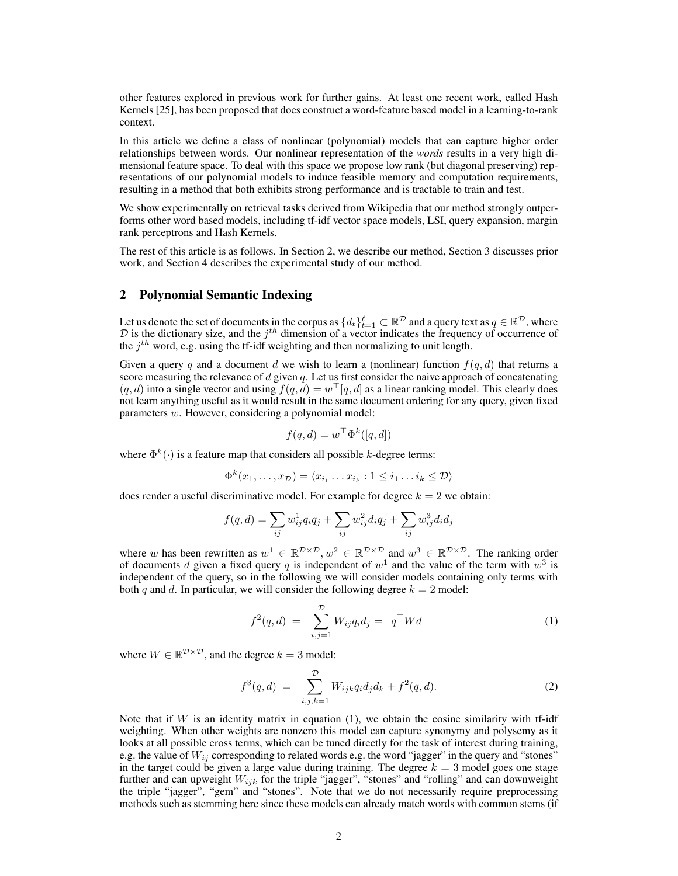other features explored in previous work for further gains. At least one recent work, called Hash Kernels [25], has been proposed that does construct a word-feature based model in a learning-to-rank context.

In this article we define a class of nonlinear (polynomial) models that can capture higher order relationships between words. Our nonlinear representation of the *words* results in a very high dimensional feature space. To deal with this space we propose low rank (but diagonal preserving) representations of our polynomial models to induce feasible memory and computation requirements, resulting in a method that both exhibits strong performance and is tractable to train and test.

We show experimentally on retrieval tasks derived from Wikipedia that our method strongly outperforms other word based models, including tf-idf vector space models, LSI, query expansion, margin rank perceptrons and Hash Kernels.

The rest of this article is as follows. In Section 2, we describe our method, Section 3 discusses prior work, and Section 4 describes the experimental study of our method.

# 2 Polynomial Semantic Indexing

Let us denote the set of documents in the corpus as  $\{d_t\}_{t=1}^{\ell} \subset \mathbb{R}^{\mathcal{D}}$  and a query text as  $q \in \mathbb{R}^{\mathcal{D}}$ , where  $D$  is the dictionary size, and the  $j<sup>th</sup>$  dimension of a vector indicates the frequency of occurrence of the  $j<sup>th</sup>$  word, e.g. using the tf-idf weighting and then normalizing to unit length.

Given a query q and a document d we wish to learn a (nonlinear) function  $f(q, d)$  that returns a score measuring the relevance of  $d$  given  $q$ . Let us first consider the naive approach of concatenating  $(q, d)$  into a single vector and using  $f(q, d) = w^{\top}[q, d]$  as a linear ranking model. This clearly does not learn anything useful as it would result in the same document ordering for any query, given fixed parameters w. However, considering a polynomial model:

$$
f(q, d) = w^{\top} \Phi^k([q, d])
$$

where  $\Phi^k(\cdot)$  is a feature map that considers all possible k-degree terms:

$$
\Phi^k(x_1,\ldots,x_{\mathcal{D}})=\langle x_{i_1}\ldots x_{i_k}:1\leq i_1\ldots i_k\leq \mathcal{D}\rangle
$$

does render a useful discriminative model. For example for degree  $k = 2$  we obtain:

$$
f(q, d) = \sum_{ij} w_{ij}^{1} q_i q_j + \sum_{ij} w_{ij}^{2} d_i q_j + \sum_{ij} w_{ij}^{3} d_i d_j
$$

where w has been rewritten as  $w^1 \in \mathbb{R}^{D \times D}$ ,  $w^2 \in \mathbb{R}^{D \times D}$  and  $w^3 \in \mathbb{R}^{D \times D}$ . The ranking order of documents d given a fixed query q is independent of  $w<sup>1</sup>$  and the value of the term with  $w<sup>3</sup>$  is independent of the query, so in the following we will consider models containing only terms with both q and d. In particular, we will consider the following degree  $k = 2$  model:

$$
f^{2}(q,d) = \sum_{i,j=1}^{D} W_{ij} q_i d_j = q^{\top} W d \tag{1}
$$

where  $W \in \mathbb{R}^{\mathcal{D} \times \mathcal{D}}$ , and the degree  $k = 3$  model:

$$
f^{3}(q,d) = \sum_{i,j,k=1}^{D} W_{ijk} q_{i} d_{j} d_{k} + f^{2}(q,d).
$$
 (2)

Note that if  $W$  is an identity matrix in equation (1), we obtain the cosine similarity with tf-idf weighting. When other weights are nonzero this model can capture synonymy and polysemy as it looks at all possible cross terms, which can be tuned directly for the task of interest during training, e.g. the value of  $W_{ij}$  corresponding to related words e.g. the word "jagger" in the query and "stones" in the target could be given a large value during training. The degree  $k = 3$  model goes one stage further and can upweight  $W_{ijk}$  for the triple "jagger", "stones" and "rolling" and can downweight the triple "jagger", "gem" and "stones". Note that we do not necessarily require preprocessing methods such as stemming here since these models can already match words with common stems (if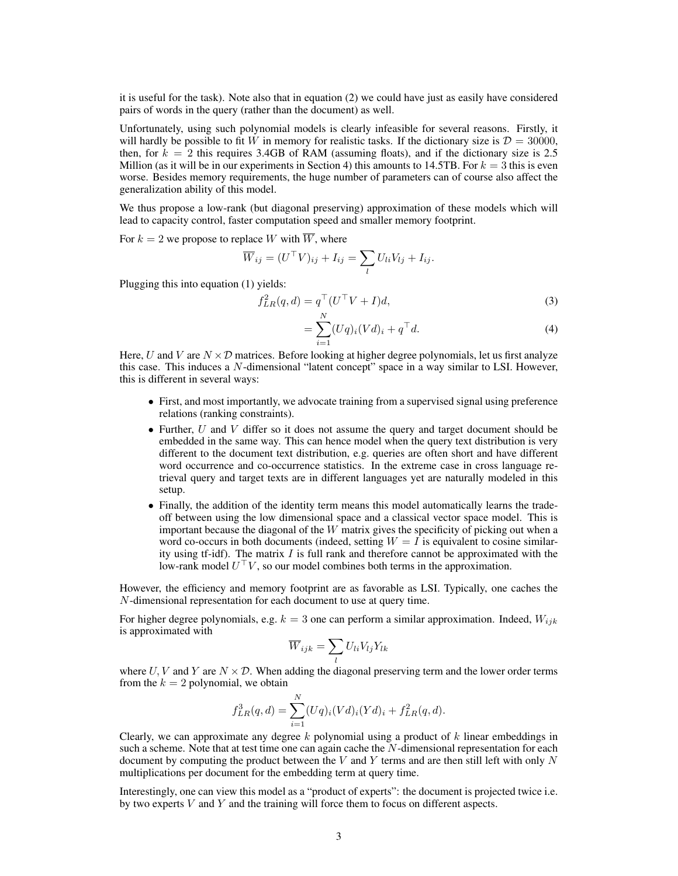it is useful for the task). Note also that in equation (2) we could have just as easily have considered pairs of words in the query (rather than the document) as well.

Unfortunately, using such polynomial models is clearly infeasible for several reasons. Firstly, it will hardly be possible to fit W in memory for realistic tasks. If the dictionary size is  $\mathcal{D} = 30000$ , then, for  $k = 2$  this requires 3.4GB of RAM (assuming floats), and if the dictionary size is 2.5 Million (as it will be in our experiments in Section 4) this amounts to 14.5TB. For  $k = 3$  this is even worse. Besides memory requirements, the huge number of parameters can of course also affect the generalization ability of this model.

We thus propose a low-rank (but diagonal preserving) approximation of these models which will lead to capacity control, faster computation speed and smaller memory footprint.

For  $k = 2$  we propose to replace W with  $\overline{W}$ , where

$$
\overline{W}_{ij} = (U^{\top}V)_{ij} + I_{ij} = \sum_{l} U_{li}V_{lj} + I_{ij}.
$$

Plugging this into equation (1) yields:

$$
f_{LR}^2(q,d) = q^\top (U^\top V + I)d,\tag{3}
$$

$$
= \sum_{i=1}^{N} (Uq)_i (Vd)_i + q^{\top} d. \tag{4}
$$

Here, U and V are  $N \times \mathcal{D}$  matrices. Before looking at higher degree polynomials, let us first analyze this case. This induces a N-dimensional "latent concept" space in a way similar to LSI. However, this is different in several ways:

- First, and most importantly, we advocate training from a supervised signal using preference relations (ranking constraints).
- Further,  $U$  and  $V$  differ so it does not assume the query and target document should be embedded in the same way. This can hence model when the query text distribution is very different to the document text distribution, e.g. queries are often short and have different word occurrence and co-occurrence statistics. In the extreme case in cross language retrieval query and target texts are in different languages yet are naturally modeled in this setup.
- Finally, the addition of the identity term means this model automatically learns the tradeoff between using the low dimensional space and a classical vector space model. This is important because the diagonal of the  $W$  matrix gives the specificity of picking out when a word co-occurs in both documents (indeed, setting  $W = I$  is equivalent to cosine similarity using tf-idf). The matrix  $I$  is full rank and therefore cannot be approximated with the low-rank model  $U^{\top}V$ , so our model combines both terms in the approximation.

However, the efficiency and memory footprint are as favorable as LSI. Typically, one caches the N-dimensional representation for each document to use at query time.

For higher degree polynomials, e.g.  $k = 3$  one can perform a similar approximation. Indeed,  $W_{ijk}$ is approximated with

$$
\overline{W}_{ijk} = \sum_{l} U_{li} V_{lj} Y_{lk}
$$

where U, V and Y are  $N \times \mathcal{D}$ . When adding the diagonal preserving term and the lower order terms from the  $k = 2$  polynomial, we obtain

$$
f_{LR}^3(q,d) = \sum_{i=1}^N (Uq)_i (Vd)_i (Yd)_i + f_{LR}^2(q,d).
$$

Clearly, we can approximate any degree  $k$  polynomial using a product of  $k$  linear embeddings in such a scheme. Note that at test time one can again cache the  $N$ -dimensional representation for each document by computing the product between the  $V$  and  $Y$  terms and are then still left with only  $N$ multiplications per document for the embedding term at query time.

Interestingly, one can view this model as a "product of experts": the document is projected twice i.e. by two experts  $V$  and  $Y$  and the training will force them to focus on different aspects.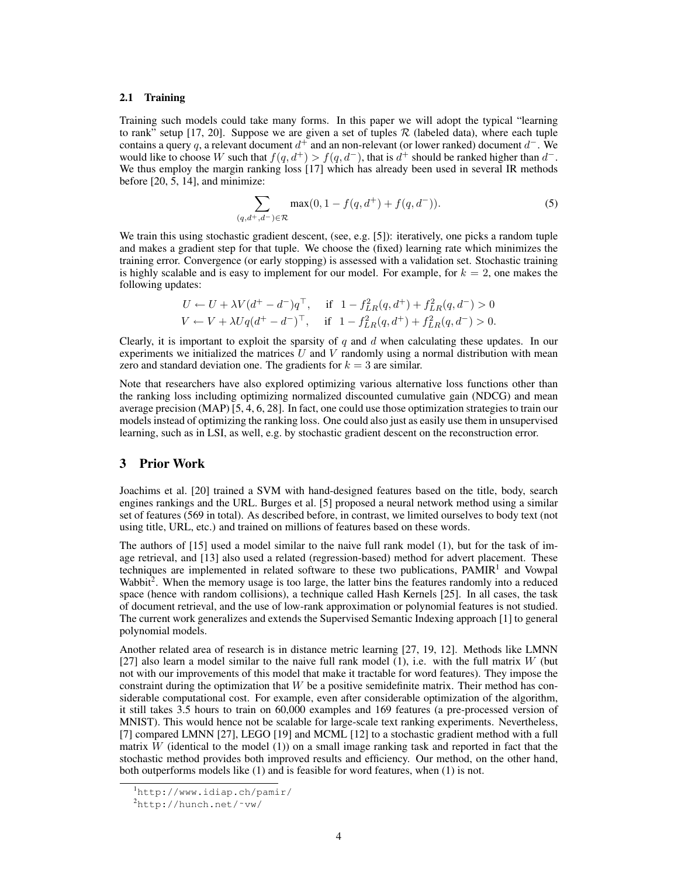### 2.1 Training

Training such models could take many forms. In this paper we will adopt the typical "learning to rank" setup [17, 20]. Suppose we are given a set of tuples  $\mathcal R$  (labeled data), where each tuple contains a query q, a relevant document  $d^+$  and an non-relevant (or lower ranked) document  $d^-$ . We would like to choose W such that  $f(q, d^+) > f(q, d^-)$ , that is  $d^+$  should be ranked higher than  $d^-$ . We thus employ the margin ranking loss [17] which has already been used in several IR methods before [20, 5, 14], and minimize:

$$
\sum_{(q,d^+,d^-)\in\mathcal{R}} \max(0, 1 - f(q, d^+) + f(q, d^-)).
$$
\n(5)

We train this using stochastic gradient descent, (see, e.g. [5]): iteratively, one picks a random tuple and makes a gradient step for that tuple. We choose the (fixed) learning rate which minimizes the training error. Convergence (or early stopping) is assessed with a validation set. Stochastic training is highly scalable and is easy to implement for our model. For example, for  $k = 2$ , one makes the following updates:

$$
U \leftarrow U + \lambda V (d^+ - d^-) q^{\top}, \quad \text{if } 1 - f_{LR}^2(q, d^+) + f_{LR}^2(q, d^-) > 0
$$
  

$$
V \leftarrow V + \lambda U q (d^+ - d^-)^{\top}, \quad \text{if } 1 - f_{LR}^2(q, d^+) + f_{LR}^2(q, d^-) > 0.
$$

Clearly, it is important to exploit the sparsity of q and  $d$  when calculating these updates. In our experiments we initialized the matrices  $U$  and  $V$  randomly using a normal distribution with mean zero and standard deviation one. The gradients for  $k = 3$  are similar.

Note that researchers have also explored optimizing various alternative loss functions other than the ranking loss including optimizing normalized discounted cumulative gain (NDCG) and mean average precision (MAP) [5, 4, 6, 28]. In fact, one could use those optimization strategies to train our models instead of optimizing the ranking loss. One could also just as easily use them in unsupervised learning, such as in LSI, as well, e.g. by stochastic gradient descent on the reconstruction error.

# 3 Prior Work

Joachims et al. [20] trained a SVM with hand-designed features based on the title, body, search engines rankings and the URL. Burges et al. [5] proposed a neural network method using a similar set of features (569 in total). As described before, in contrast, we limited ourselves to body text (not using title, URL, etc.) and trained on millions of features based on these words.

The authors of [15] used a model similar to the naive full rank model (1), but for the task of image retrieval, and [13] also used a related (regression-based) method for advert placement. These techniques are implemented in related software to these two publications, PAMIR<sup>1</sup> and Vowpal Wabbit<sup>2</sup>. When the memory usage is too large, the latter bins the features randomly into a reduced space (hence with random collisions), a technique called Hash Kernels [25]. In all cases, the task of document retrieval, and the use of low-rank approximation or polynomial features is not studied. The current work generalizes and extends the Supervised Semantic Indexing approach [1] to general polynomial models.

Another related area of research is in distance metric learning [27, 19, 12]. Methods like LMNN [27] also learn a model similar to the naive full rank model  $(1)$ , i.e. with the full matrix W (but not with our improvements of this model that make it tractable for word features). They impose the constraint during the optimization that  $W$  be a positive semidefinite matrix. Their method has considerable computational cost. For example, even after considerable optimization of the algorithm, it still takes 3.5 hours to train on 60,000 examples and 169 features (a pre-processed version of MNIST). This would hence not be scalable for large-scale text ranking experiments. Nevertheless, [7] compared LMNN [27], LEGO [19] and MCML [12] to a stochastic gradient method with a full matrix  $W$  (identical to the model  $(1)$ ) on a small image ranking task and reported in fact that the stochastic method provides both improved results and efficiency. Our method, on the other hand, both outperforms models like (1) and is feasible for word features, when (1) is not.

<sup>1</sup>http://www.idiap.ch/pamir/

<sup>2</sup>http://hunch.net/˜vw/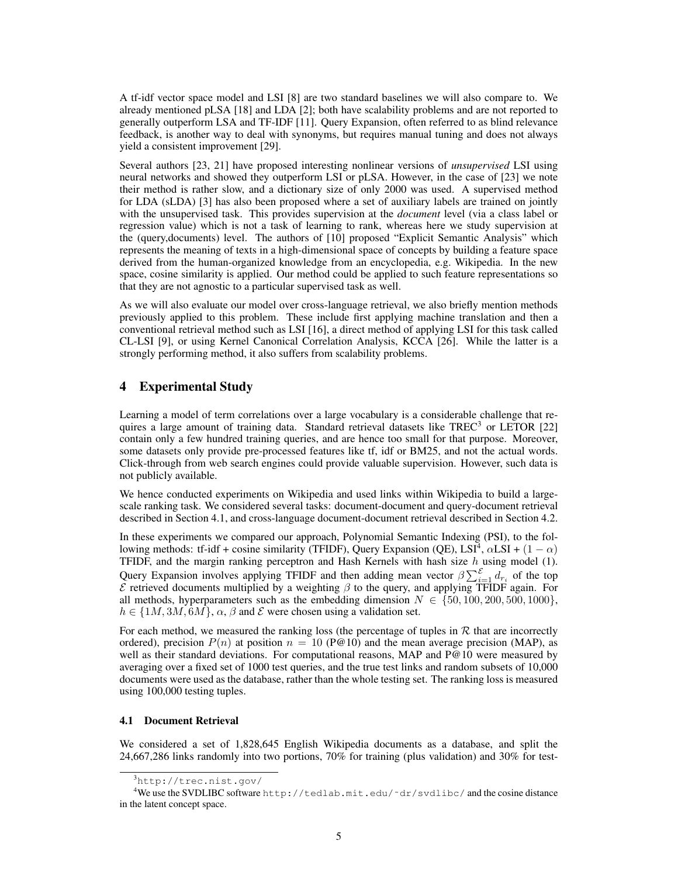A tf-idf vector space model and LSI [8] are two standard baselines we will also compare to. We already mentioned pLSA [18] and LDA [2]; both have scalability problems and are not reported to generally outperform LSA and TF-IDF [11]. Query Expansion, often referred to as blind relevance feedback, is another way to deal with synonyms, but requires manual tuning and does not always yield a consistent improvement [29].

Several authors [23, 21] have proposed interesting nonlinear versions of *unsupervised* LSI using neural networks and showed they outperform LSI or pLSA. However, in the case of [23] we note their method is rather slow, and a dictionary size of only 2000 was used. A supervised method for LDA (sLDA) [3] has also been proposed where a set of auxiliary labels are trained on jointly with the unsupervised task. This provides supervision at the *document* level (via a class label or regression value) which is not a task of learning to rank, whereas here we study supervision at the (query,documents) level. The authors of [10] proposed "Explicit Semantic Analysis" which represents the meaning of texts in a high-dimensional space of concepts by building a feature space derived from the human-organized knowledge from an encyclopedia, e.g. Wikipedia. In the new space, cosine similarity is applied. Our method could be applied to such feature representations so that they are not agnostic to a particular supervised task as well.

As we will also evaluate our model over cross-language retrieval, we also briefly mention methods previously applied to this problem. These include first applying machine translation and then a conventional retrieval method such as LSI [16], a direct method of applying LSI for this task called CL-LSI [9], or using Kernel Canonical Correlation Analysis, KCCA [26]. While the latter is a strongly performing method, it also suffers from scalability problems.

# 4 Experimental Study

Learning a model of term correlations over a large vocabulary is a considerable challenge that requires a large amount of training data. Standard retrieval datasets like  $TREC^3$  or LETOR [22] contain only a few hundred training queries, and are hence too small for that purpose. Moreover, some datasets only provide pre-processed features like tf, idf or BM25, and not the actual words. Click-through from web search engines could provide valuable supervision. However, such data is not publicly available.

We hence conducted experiments on Wikipedia and used links within Wikipedia to build a largescale ranking task. We considered several tasks: document-document and query-document retrieval described in Section 4.1, and cross-language document-document retrieval described in Section 4.2.

In these experiments we compared our approach, Polynomial Semantic Indexing (PSI), to the following methods: tf-idf + cosine similarity (TFIDF), Query Expansion (QE), LSI<sup>4</sup>,  $\alpha$ LSI + (1 –  $\alpha$ ) TFIDF, and the margin ranking perceptron and Hash Kernels with hash size  $h$  using model (1). Query Expansion involves applying TFIDF and then adding mean vector  $\beta \sum_{i=1}^{\mathcal{E}} d_{r_i}$  of the top  $\mathcal E$  retrieved documents multiplied by a weighting  $\beta$  to the query, and applying TFIDF again. For all methods, hyperparameters such as the embedding dimension  $N \in \{50, 100, 200, 500, 1000\}$ ,  $h \in \{1M, 3M, 6M\}, \alpha, \beta$  and  $\mathcal E$  were chosen using a validation set.

For each method, we measured the ranking loss (the percentage of tuples in  $R$  that are incorrectly ordered), precision  $P(n)$  at position  $n = 10$  (P@10) and the mean average precision (MAP), as well as their standard deviations. For computational reasons, MAP and P@10 were measured by averaging over a fixed set of 1000 test queries, and the true test links and random subsets of 10,000 documents were used as the database, rather than the whole testing set. The ranking loss is measured using 100,000 testing tuples.

#### 4.1 Document Retrieval

We considered a set of 1,828,645 English Wikipedia documents as a database, and split the 24,667,286 links randomly into two portions, 70% for training (plus validation) and 30% for test-

<sup>3</sup>http://trec.nist.gov/

<sup>&</sup>lt;sup>4</sup>We use the SVDLIBC software http://tedlab.mit.edu/~dr/svdlibc/ and the cosine distance in the latent concept space.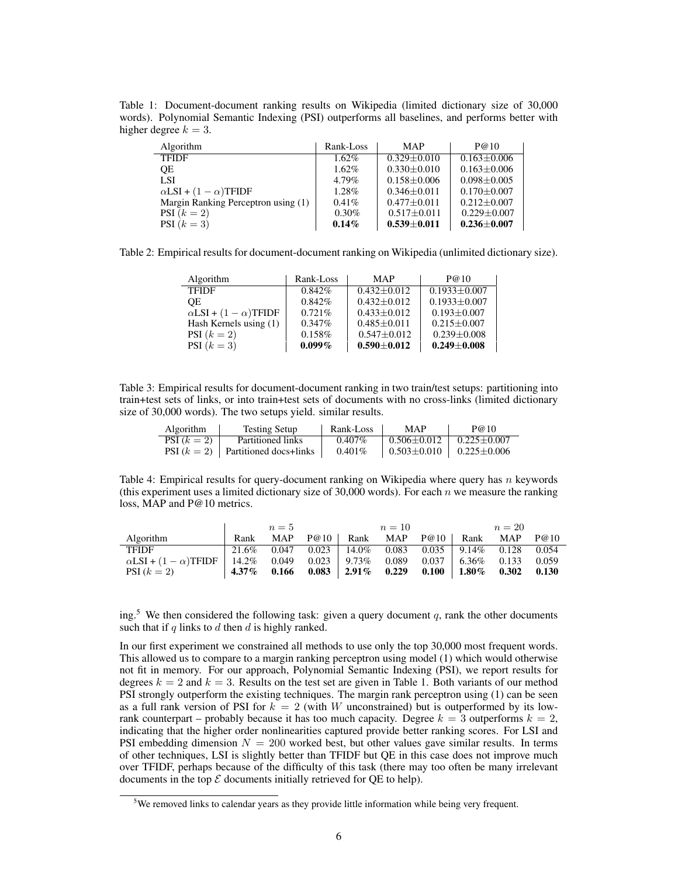Table 1: Document-document ranking results on Wikipedia (limited dictionary size of 30,000 words). Polynomial Semantic Indexing (PSI) outperforms all baselines, and performs better with higher degree  $k = 3$ .

| Algorithm                           | Rank-Loss | <b>MAP</b>        | P@10              |
|-------------------------------------|-----------|-------------------|-------------------|
| <b>TFIDF</b>                        | $1.62\%$  | $0.329 + 0.010$   | $0.163 + 0.006$   |
| <b>OE</b>                           | $1.62\%$  | $0.330 \pm 0.010$ | $0.163 \pm 0.006$ |
| LSI                                 | 4.79%     | $0.158 \pm 0.006$ | $0.098 \pm 0.005$ |
| $\alpha$ LSI + $(1 - \alpha)$ TFIDF | $1.28\%$  | $0.346 + 0.011$   | $0.170 + 0.007$   |
| Margin Ranking Perceptron using (1) | $0.41\%$  | $0.477 + 0.011$   | $0.212 + 0.007$   |
| PSI $(k=2)$                         | $0.30\%$  | $0.517 \pm 0.011$ | $0.229 \pm 0.007$ |
| PSI $(k=3)$                         | $0.14\%$  | $0.539 \pm 0.011$ | $0.236 \pm 0.007$ |

Table 2: Empirical results for document-document ranking on Wikipedia (unlimited dictionary size).

| Algorithm                           | Rank-Loss | <b>MAP</b>        | P@10               |
|-------------------------------------|-----------|-------------------|--------------------|
| <b>TFIDF</b>                        | $0.842\%$ | $0.432 \pm 0.012$ | $0.1933 \pm 0.007$ |
| OЕ                                  | $0.842\%$ | $0.432 + 0.012$   | $0.1933 \pm 0.007$ |
| $\alpha$ LSI + $(1 - \alpha)$ TFIDF | $0.721\%$ | $0.433 \pm 0.012$ | $0.193 \pm 0.007$  |
| Hash Kernels using (1)              | $0.347\%$ | $0.485 \pm 0.011$ | $0.215 + 0.007$    |
| PSI $(k=2)$                         | 0.158%    | $0.547 + 0.012$   | $0.239 \pm 0.008$  |
| PSI $(k=3)$                         | $0.099\%$ | $0.590 \pm 0.012$ | $0.249 + 0.008$    |

Table 3: Empirical results for document-document ranking in two train/test setups: partitioning into train+test sets of links, or into train+test sets of documents with no cross-links (limited dictionary size of 30,000 words). The two setups yield. similar results.

| <b>Algorithm</b> | <b>Testing Setup</b>                   | Rank-Loss | <b>MAP</b>            | P@10                      |
|------------------|----------------------------------------|-----------|-----------------------|---------------------------|
| $PSI (k = 2)$    | Partitioned links                      | $0.407\%$ | $\pm 0.506 \pm 0.012$ | $0.225 \pm 0.007$         |
|                  | PSI $(k = 2)$   Partitioned docs+links | $0.401\%$ | $\pm 0.503 \pm 0.010$ | $\perp$ 0.225 $\pm$ 0.006 |

Table 4: Empirical results for query-document ranking on Wikipedia where query has n keywords (this experiment uses a limited dictionary size of 30,000 words). For each  $n$  we measure the ranking loss, MAP and P@10 metrics.

|                                                                       |          | $n=5$      |                                                      | $n=10$ |                                | $n=20$ |       |
|-----------------------------------------------------------------------|----------|------------|------------------------------------------------------|--------|--------------------------------|--------|-------|
| Algorithm                                                             | Rank     | <b>MAP</b> | $P@10$ Rank MAP $P@10$                               |        | Rank                           | MAP    | P@10  |
| <b>TFIDF</b>                                                          |          |            | $21.6\%$ 0.047 0.023 14.0\% 0.083 0.035 9.14\% 0.128 |        |                                |        | 0.054 |
| $\alpha$ LSI + $(1 - \alpha)$ TFIDF   14.2% 0.049 0.023   9.73% 0.089 |          |            |                                                      |        | $0.037 \pm 6.36\% \quad 0.133$ |        | 0.059 |
| $PSI (k = 2)$                                                         | $4.37\%$ | 0.166      | $0.083$   2.91% 0.229 0.100   1.80% 0.302            |        |                                |        | 0.130 |

ing.<sup>5</sup> We then considered the following task: given a query document q, rank the other documents such that if q links to  $d$  then  $d$  is highly ranked.

In our first experiment we constrained all methods to use only the top 30,000 most frequent words. This allowed us to compare to a margin ranking perceptron using model (1) which would otherwise not fit in memory. For our approach, Polynomial Semantic Indexing (PSI), we report results for degrees  $k = 2$  and  $k = 3$ . Results on the test set are given in Table 1. Both variants of our method PSI strongly outperform the existing techniques. The margin rank perceptron using (1) can be seen as a full rank version of PSI for  $k = 2$  (with W unconstrained) but is outperformed by its lowrank counterpart – probably because it has too much capacity. Degree  $k = 3$  outperforms  $k = 2$ , indicating that the higher order nonlinearities captured provide better ranking scores. For LSI and PSI embedding dimension  $N = 200$  worked best, but other values gave similar results. In terms of other techniques, LSI is slightly better than TFIDF but QE in this case does not improve much over TFIDF, perhaps because of the difficulty of this task (there may too often be many irrelevant documents in the top  $\mathcal E$  documents initially retrieved for QE to help).

<sup>&</sup>lt;sup>5</sup>We removed links to calendar years as they provide little information while being very frequent.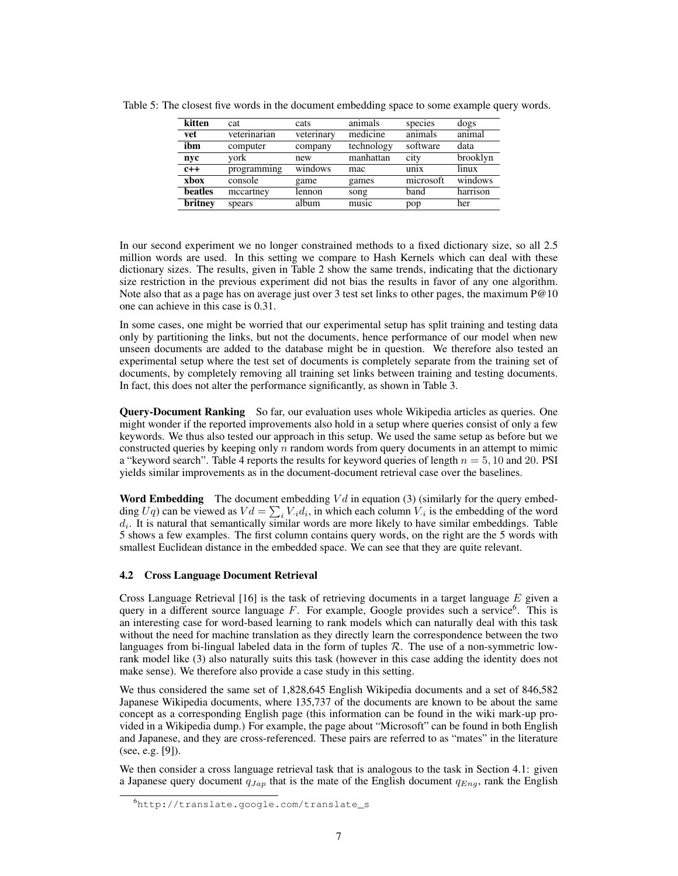| kitten  | cat          | cats       | animals    | species                       | dogs     |
|---------|--------------|------------|------------|-------------------------------|----------|
| vet     | veterinarian | veterinary | medicine   | animals                       | animal   |
| ibm     | computer     | company    | technology | software                      | data     |
| nyc     | vork         | new        | manhattan  | city                          | brooklyn |
| $c++$   | programming  | windows    | mac        | $\frac{1}{111}$               | linux    |
| xbox    | console      | game       | games      | $\overline{\text{microsoft}}$ | windows  |
| beatles | mccartney    | lennon     | song       | band                          | harrison |
| britney | spears       | album      | music      | pop                           | her      |
|         |              |            |            |                               |          |

Table 5: The closest five words in the document embedding space to some example query words.

In our second experiment we no longer constrained methods to a fixed dictionary size, so all 2.5 million words are used. In this setting we compare to Hash Kernels which can deal with these dictionary sizes. The results, given in Table 2 show the same trends, indicating that the dictionary size restriction in the previous experiment did not bias the results in favor of any one algorithm. Note also that as a page has on average just over 3 test set links to other pages, the maximum P@10 one can achieve in this case is 0.31.

In some cases, one might be worried that our experimental setup has split training and testing data only by partitioning the links, but not the documents, hence performance of our model when new unseen documents are added to the database might be in question. We therefore also tested an experimental setup where the test set of documents is completely separate from the training set of documents, by completely removing all training set links between training and testing documents. In fact, this does not alter the performance significantly, as shown in Table 3.

**Query-Document Ranking** So far, our evaluation uses whole Wikipedia articles as queries. One might wonder if the reported improvements also hold in a setup where queries consist of only a few keywords. We thus also tested our approach in this setup. We used the same setup as before but we constructed queries by keeping only  $n$  random words from query documents in an attempt to mimic a "keyword search". Table 4 reports the results for keyword queries of length  $n = 5, 10$  and 20. PSI yields similar improvements as in the document-document retrieval case over the baselines.

**Word Embedding** The document embedding  $V d$  in equation (3) (similarly for the query embedding  $Uq$ ) can be viewed as  $Vd = \sum_i V_i d_i$ , in which each column  $V_i$  is the embedding of the word  $d_i$ . It is natural that semantically similar words are more likely to have similar embeddings. Table 5 shows a few examples. The first column contains query words, on the right are the 5 words with smallest Euclidean distance in the embedded space. We can see that they are quite relevant.

## 4.2 Cross Language Document Retrieval

Cross Language Retrieval  $[16]$  is the task of retrieving documents in a target language E given a query in a different source language  $F$ . For example, Google provides such a service<sup>6</sup>. This is an interesting case for word-based learning to rank models which can naturally deal with this task without the need for machine translation as they directly learn the correspondence between the two languages from bi-lingual labeled data in the form of tuples  $R$ . The use of a non-symmetric lowrank model like (3) also naturally suits this task (however in this case adding the identity does not make sense). We therefore also provide a case study in this setting.

We thus considered the same set of 1,828,645 English Wikipedia documents and a set of 846,582 Japanese Wikipedia documents, where 135,737 of the documents are known to be about the same concept as a corresponding English page (this information can be found in the wiki mark-up provided in a Wikipedia dump.) For example, the page about "Microsoft" can be found in both English and Japanese, and they are cross-referenced. These pairs are referred to as "mates" in the literature (see, e.g. [9]).

We then consider a cross language retrieval task that is analogous to the task in Section 4.1: given a Japanese query document  $q_{Jap}$  that is the mate of the English document  $q_{Enq}$ , rank the English

<sup>6</sup>http://translate.google.com/translate\_s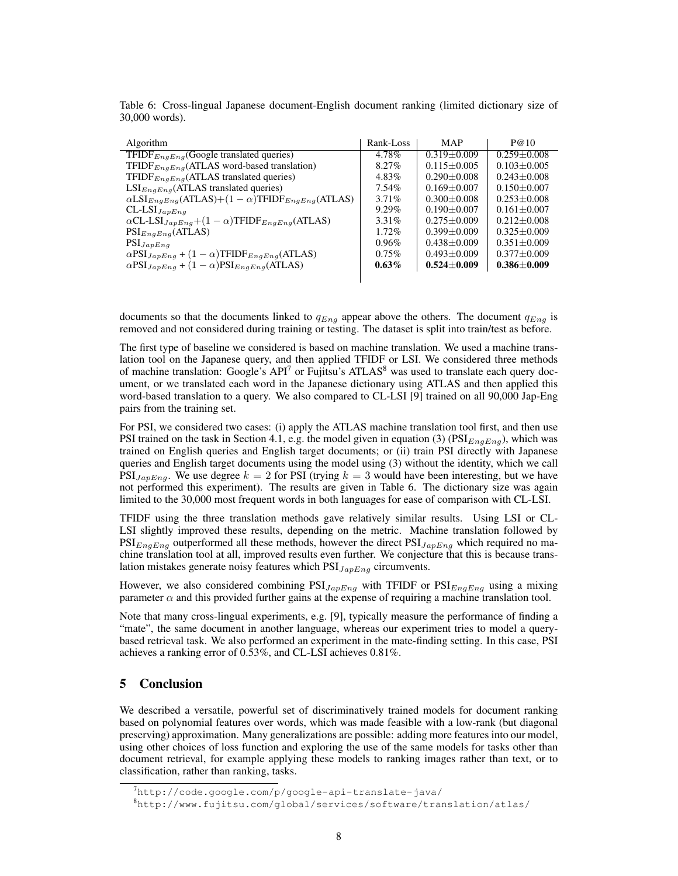| Algorithm                                                                             | Rank-Loss | <b>MAP</b>      | P@10              |
|---------------------------------------------------------------------------------------|-----------|-----------------|-------------------|
| TFIDF $_{EngEng}$ (Google translated queries)                                         | 4.78%     | $0.319 + 0.009$ | $0.259 \pm 0.008$ |
| TFIDF $_{EnaEnq}$ (ATLAS word-based translation)                                      | 8.27%     | $0.115 + 0.005$ | $0.103 + 0.005$   |
| TFIDF $_{EngEnq}$ (ATLAS translated queries)                                          | 4.83%     | $0.290 + 0.008$ | $0.243 + 0.008$   |
| $LSI_{EnaEna}(ATLAS$ translated queries)                                              | 7.54%     | $0.169 + 0.007$ | $0.150 + 0.007$   |
| $\alpha$ LSI <sub>EngEng</sub> (ATLAS)+(1 - $\alpha$ )TFIDF <sub>EngEng</sub> (ATLAS) | $3.71\%$  | $0.300 + 0.008$ | $0.253 + 0.008$   |
| $CL$ - $LSI$ $_{JapEng}$                                                              | $9.29\%$  | $0.190 + 0.007$ | $0.161 + 0.007$   |
| $\alpha$ CL-LSI <sub>JapEng</sub> +(1 – $\alpha$ )TFIDF <sub>EngEng</sub> (ATLAS)     | $3.31\%$  | $0.275 + 0.009$ | $0.212 + 0.008$   |
| $PSI_{EngEng}(ATLAS)$                                                                 | $1.72\%$  | $0.399 + 0.009$ | $0.325 + 0.009$   |
| $PSI_{JapEng}$                                                                        | $0.96\%$  | $0.438 + 0.009$ | $0.351 + 0.009$   |
| $\alpha$ PSI <sub>JapEng</sub> + (1 – $\alpha$ )TFIDF <sub>EngEng</sub> (ATLAS)       | $0.75\%$  | $0.493 + 0.009$ | $0.377 + 0.009$   |
| $\alpha$ PSI <sub>JapEng</sub> + (1 – $\alpha$ )PSI <sub>EngEng</sub> (ATLAS)         | $0.63\%$  | $0.524 + 0.009$ | $0.386 + 0.009$   |
|                                                                                       |           |                 |                   |

Table 6: Cross-lingual Japanese document-English document ranking (limited dictionary size of 30,000 words).

documents so that the documents linked to  $q_{Enq}$  appear above the others. The document  $q_{Enq}$  is removed and not considered during training or testing. The dataset is split into train/test as before.

The first type of baseline we considered is based on machine translation. We used a machine translation tool on the Japanese query, and then applied TFIDF or LSI. We considered three methods of machine translation: Google's  $API^7$  or Fujitsu's ATLAS<sup>8</sup> was used to translate each query document, or we translated each word in the Japanese dictionary using ATLAS and then applied this word-based translation to a query. We also compared to CL-LSI [9] trained on all 90,000 Jap-Eng pairs from the training set.

For PSI, we considered two cases: (i) apply the ATLAS machine translation tool first, and then use PSI trained on the task in Section 4.1, e.g. the model given in equation (3) ( $PSI_{EnqEnq}$ ), which was trained on English queries and English target documents; or (ii) train PSI directly with Japanese queries and English target documents using the model using (3) without the identity, which we call  $PSI_{JapEna}$ . We use degree  $k = 2$  for PSI (trying  $k = 3$  would have been interesting, but we have not performed this experiment). The results are given in Table 6. The dictionary size was again limited to the 30,000 most frequent words in both languages for ease of comparison with CL-LSI.

TFIDF using the three translation methods gave relatively similar results. Using LSI or CL-LSI slightly improved these results, depending on the metric. Machine translation followed by  $PSI_{EngEng}$  outperformed all these methods, however the direct  $PSI_{JapEng}$  which required no machine translation tool at all, improved results even further. We conjecture that this is because translation mistakes generate noisy features which  $PSI_{JapEnq}$  circumvents.

However, we also considered combining  $PSI_{JapEnq}$  with TFIDF or  $PSI_{EnqEnq}$  using a mixing parameter  $\alpha$  and this provided further gains at the expense of requiring a machine translation tool.

Note that many cross-lingual experiments, e.g. [9], typically measure the performance of finding a "mate", the same document in another language, whereas our experiment tries to model a querybased retrieval task. We also performed an experiment in the mate-finding setting. In this case, PSI achieves a ranking error of 0.53%, and CL-LSI achieves 0.81%.

# 5 Conclusion

We described a versatile, powerful set of discriminatively trained models for document ranking based on polynomial features over words, which was made feasible with a low-rank (but diagonal preserving) approximation. Many generalizations are possible: adding more features into our model, using other choices of loss function and exploring the use of the same models for tasks other than document retrieval, for example applying these models to ranking images rather than text, or to classification, rather than ranking, tasks.

 $7$ http://code.google.com/p/google-api-translate-java/

<sup>8</sup>http://www.fujitsu.com/global/services/software/translation/atlas/